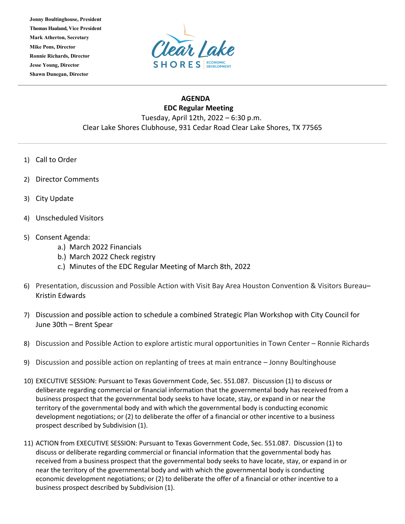**Jonny Boultinghouse, President Thomas Haaland, Vice President Mark Atherton, Secretary Mike Pons, Director Ronnie Richards, Director Jesse Young, Director Shawn Dunegan, Director**



## **AGENDA EDC Regular Meeting** Tuesday, April 12th, 2022 – 6:30 p.m. Clear Lake Shores Clubhouse, 931 Cedar Road Clear Lake Shores, TX 77565

- 1) Call to Order
- 2) Director Comments
- 3) City Update
- 4) Unscheduled Visitors
- 5) Consent Agenda:
	- a.) March 2022 Financials
	- b.) March 2022 Check registry
	- c.) Minutes of the EDC Regular Meeting of March 8th, 2022
- 6) Presentation, discussion and Possible Action with Visit Bay Area Houston Convention & Visitors Bureau– Kristin Edwards
- 7) Discussion and possible action to schedule a combined Strategic Plan Workshop with City Council for June 30th – Brent Spear
- 8) Discussion and Possible Action to explore artistic mural opportunities in Town Center Ronnie Richards
- 9) Discussion and possible action on replanting of trees at main entrance Jonny Boultinghouse
- 10) EXECUTIVE SESSION: Pursuant to Texas Government Code, Sec. 551.087. Discussion (1) to discuss or deliberate regarding commercial or financial information that the governmental body has received from a business prospect that the governmental body seeks to have locate, stay, or expand in or near the territory of the governmental body and with which the governmental body is conducting economic development negotiations; or (2) to deliberate the offer of a financial or other incentive to a business prospect described by Subdivision (1).
- 11) ACTION from EXECUTIVE SESSION: Pursuant to Texas Government Code, Sec. 551.087. Discussion (1) to discuss or deliberate regarding commercial or financial information that the governmental body has received from a business prospect that the governmental body seeks to have locate, stay, or expand in or near the territory of the governmental body and with which the governmental body is conducting economic development negotiations; or (2) to deliberate the offer of a financial or other incentive to a business prospect described by Subdivision (1).